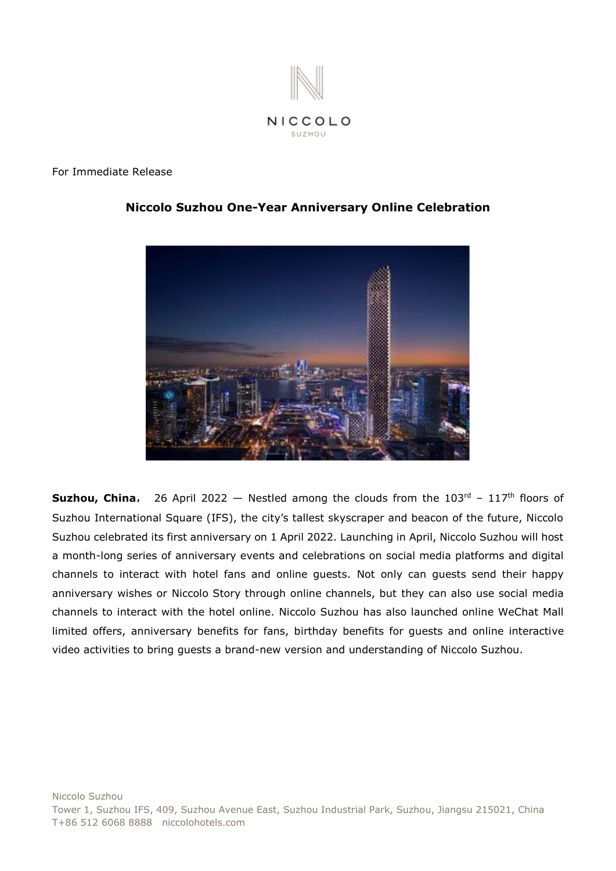

#### For Immediate Release



# **Niccolo Suzhou One-Year Anniversary Online Celebration**

**Suzhou, China**, 26 April 2022 – Nestled among the clouds from the 103<sup>rd</sup> - 117<sup>th</sup> floors of Suzhou International Square (IFS), the city's tallest skyscraper and beacon of the future, Niccolo Suzhou celebrated its first anniversary on 1 April 2022. Launching in April, Niccolo Suzhou will host a month-long series of anniversary events and celebrations on social media platforms and digital channels to interact with hotel fans and online guests. Not only can guests send their happy anniversary wishes or Niccolo Story through online channels, but they can also use social media channels to interact with the hotel online. Niccolo Suzhou has also launched online WeChat Mall limited offers, anniversary benefits for fans, birthday benefits for guests and online interactive video activities to bring guests a brand-new version and understanding of Niccolo Suzhou.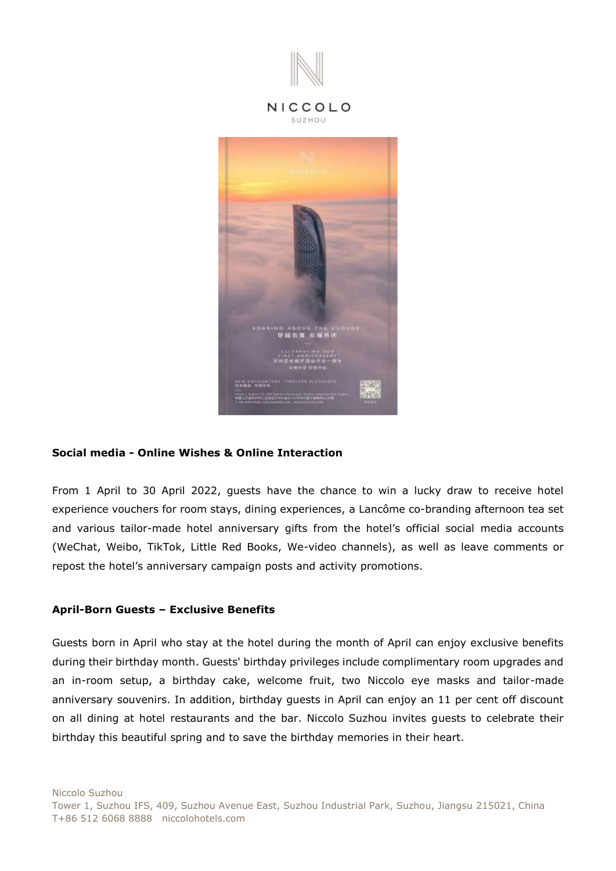

#### **Social media - Online Wishes & Online Interaction**

From 1 April to 30 April 2022, guests have the chance to win a lucky draw to receive hotel experience vouchers for room stays, dining experiences, a Lancôme co-branding afternoon tea set and various tailor-made hotel anniversary gifts from the hotel's official social media accounts (WeChat, Weibo, TikTok, Little Red Books, We-video channels), as well as leave comments or repost the hotel's anniversary campaign posts and activity promotions.

#### **April-Born Guests – Exclusive Benefits**

Guests born in April who stay at the hotel during the month of April can enjoy exclusive benefits during their birthday month. Guests' birthday privileges include complimentary room upgrades and an in-room setup, a birthday cake, welcome fruit, two Niccolo eye masks and tailor-made anniversary souvenirs. In addition, birthday guests in April can enjoy an 11 per cent off discount on all dining at hotel restaurants and the bar. Niccolo Suzhou invites guests to celebrate their birthday this beautiful spring and to save the birthday memories in their heart.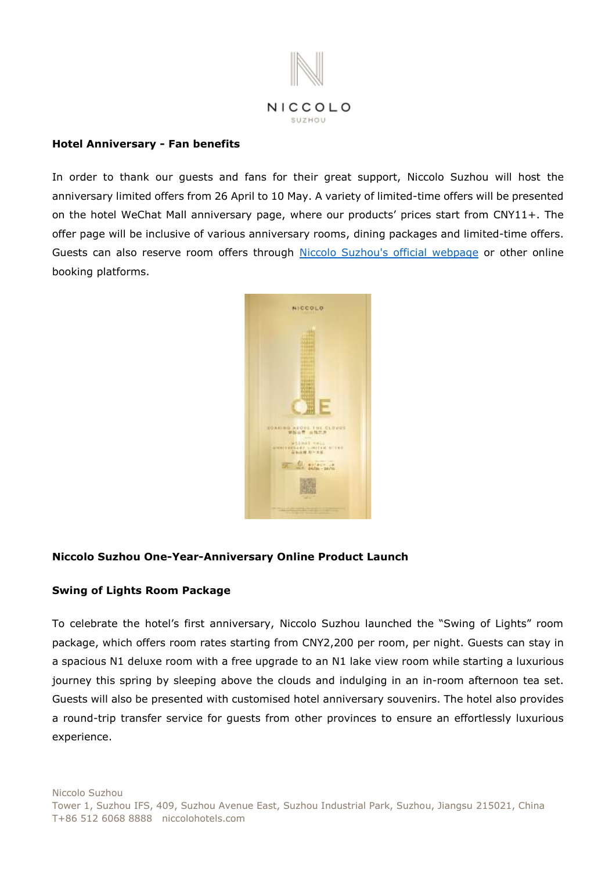

#### **Hotel Anniversary - Fan benefits**

In order to thank our guests and fans for their great support, Niccolo Suzhou will host the anniversary limited offers from 26 April to 10 May. A variety of limited-time offers will be presented on the hotel WeChat Mall anniversary page, where our products' prices start from CNY11+. The offer page will be inclusive of various anniversary rooms, dining packages and limited-time offers. Guests can also reserve room offers through [Niccolo Suzhou's official webpage](https://www.niccolohotels.cn/en/niccolo/hotels/china/suzhou/niccolo_suzhou/offers/swing_of_lights.html) or other online booking platforms.



## **Niccolo Suzhou One-Year-Anniversary Online Product Launch**

## **Swing of Lights Room Package**

To celebrate the hotel's first anniversary, Niccolo Suzhou launched the "Swing of Lights" room package, which offers room rates starting from CNY2,200 per room, per night. Guests can stay in a spacious N1 deluxe room with a free upgrade to an N1 lake view room while starting a luxurious journey this spring by sleeping above the clouds and indulging in an in-room afternoon tea set. Guests will also be presented with customised hotel anniversary souvenirs. The hotel also provides a round-trip transfer service for guests from other provinces to ensure an effortlessly luxurious experience.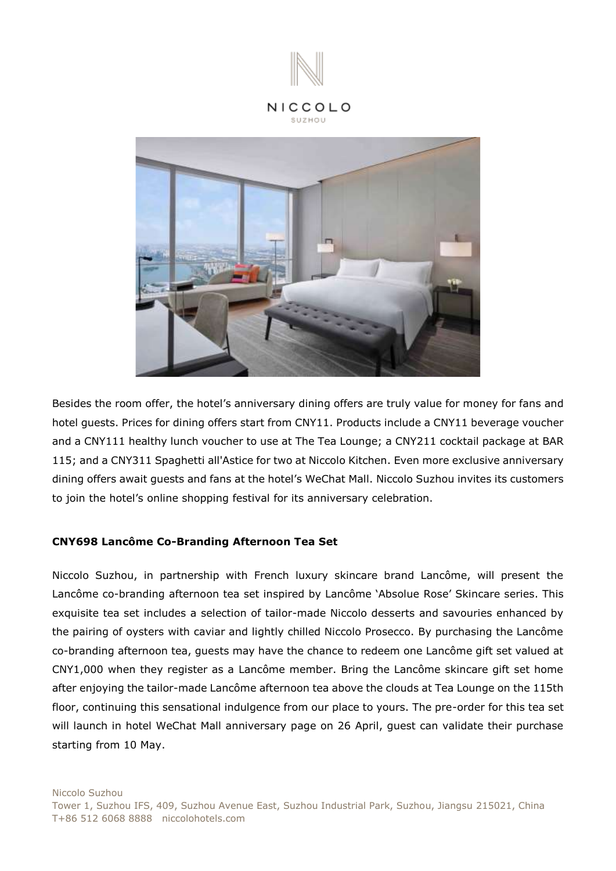

#### NICCOLO SUZHOU



Besides the room offer, the hotel's anniversary dining offers are truly value for money for fans and hotel guests. Prices for dining offers start from CNY11. Products include a CNY11 beverage voucher and a CNY111 healthy lunch voucher to use at The Tea Lounge; a CNY211 cocktail package at BAR 115; and a CNY311 Spaghetti all'Astice for two at Niccolo Kitchen. Even more exclusive anniversary dining offers await guests and fans at the hotel's WeChat Mall. Niccolo Suzhou invites its customers to join the hotel's online shopping festival for its anniversary celebration.

## **CNY698 Lancôme Co-Branding Afternoon Tea Set**

Niccolo Suzhou, in partnership with French luxury skincare brand Lancôme, will present the Lancôme co-branding afternoon tea set inspired by Lancôme 'Absolue Rose' Skincare series. This exquisite tea set includes a selection of tailor-made Niccolo desserts and savouries enhanced by the pairing of oysters with caviar and lightly chilled Niccolo Prosecco. By purchasing the Lancôme co-branding afternoon tea, guests may have the chance to redeem one Lancôme gift set valued at CNY1,000 when they register as a Lancôme member. Bring the Lancôme skincare gift set home after enjoying the tailor-made Lancôme afternoon tea above the clouds at Tea Lounge on the 115th floor, continuing this sensational indulgence from our place to yours. The pre-order for this tea set will launch in hotel WeChat Mall anniversary page on 26 April, guest can validate their purchase starting from 10 May.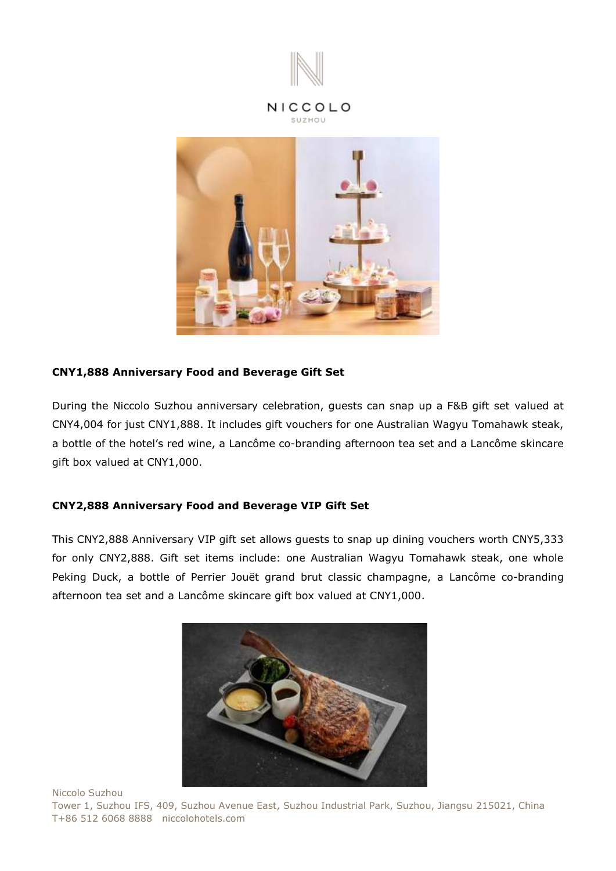

#### NICCOLO SUZHOU



## **CNY1,888 Anniversary Food and Beverage Gift Set**

During the Niccolo Suzhou anniversary celebration, guests can snap up a F&B gift set valued at CNY4,004 for just CNY1,888. It includes gift vouchers for one Australian Wagyu Tomahawk steak, a bottle of the hotel's red wine, a Lancôme co-branding afternoon tea set and a Lancôme skincare gift box valued at CNY1,000.

# **CNY2,888 Anniversary Food and Beverage VIP Gift Set**

This CNY2,888 Anniversary VIP gift set allows guests to snap up dining vouchers worth CNY5,333 for only CNY2,888. Gift set items include: one Australian Wagyu Tomahawk steak, one whole Peking Duck, a bottle of Perrier Jouët grand brut classic champagne, a Lancôme co-branding afternoon tea set and a Lancôme skincare gift box valued at CNY1,000.



Niccolo Suzhou

Tower 1, Suzhou IFS, 409, Suzhou Avenue East, Suzhou Industrial Park, Suzhou, Jiangsu 215021, China T+86 512 6068 8888 niccolohotels.com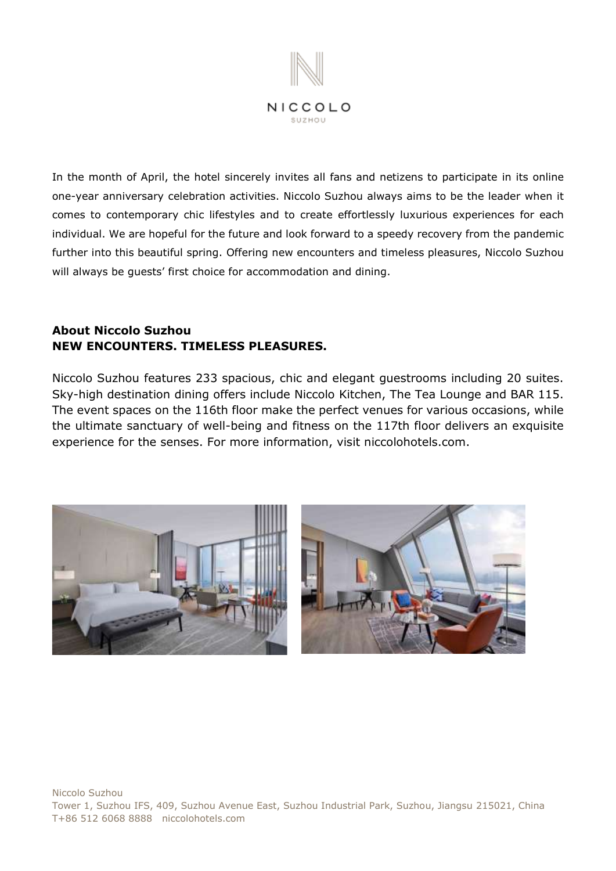

In the month of April, the hotel sincerely invites all fans and netizens to participate in its online one-year anniversary celebration activities. Niccolo Suzhou always aims to be the leader when it comes to contemporary chic lifestyles and to create effortlessly luxurious experiences for each individual. We are hopeful for the future and look forward to a speedy recovery from the pandemic further into this beautiful spring. Offering new encounters and timeless pleasures, Niccolo Suzhou will always be guests' first choice for accommodation and dining.

# **About Niccolo Suzhou NEW ENCOUNTERS. TIMELESS PLEASURES.**

Niccolo Suzhou features 233 spacious, chic and elegant guestrooms including 20 suites. Sky-high destination dining offers include Niccolo Kitchen, The Tea Lounge and BAR 115. The event spaces on the 116th floor make the perfect venues for various occasions, while the ultimate sanctuary of well-being and fitness on the 117th floor delivers an exquisite experience for the senses. For more information, visit [niccolohotels.com.](file:///I:/4%20-%20MARCOM/3.%20PR/3.%20Press%20Release/2021.4.16%20approve/Niccolo%20Suzhou%20features%20233%20spacious,%20chic%20and%20elegant%20guestrooms%20including%2020%20suites.%20Sky-high%20destination%20dining%20offers%20include%20Niccolo%20Kitchen,%20The%20Tea%20Lounge%20and%20Bar%20115.%20The%20event%20spaces%20on%20the%20116th%20floor%20make%20the%20perfect%20venues%20for%20various%20occasions,%20while%20the%20ultimate%20sanctuary%20of%20well-being%20and%20fitness%20on%20the%20117th%20floor%20delivers%20an%20exquisite%20experience%20for%20the%20senses.%20For%20further%20information,%20please%20contact%20your%20travel%20professional%20or%20visit%20niccolohotels.com.)

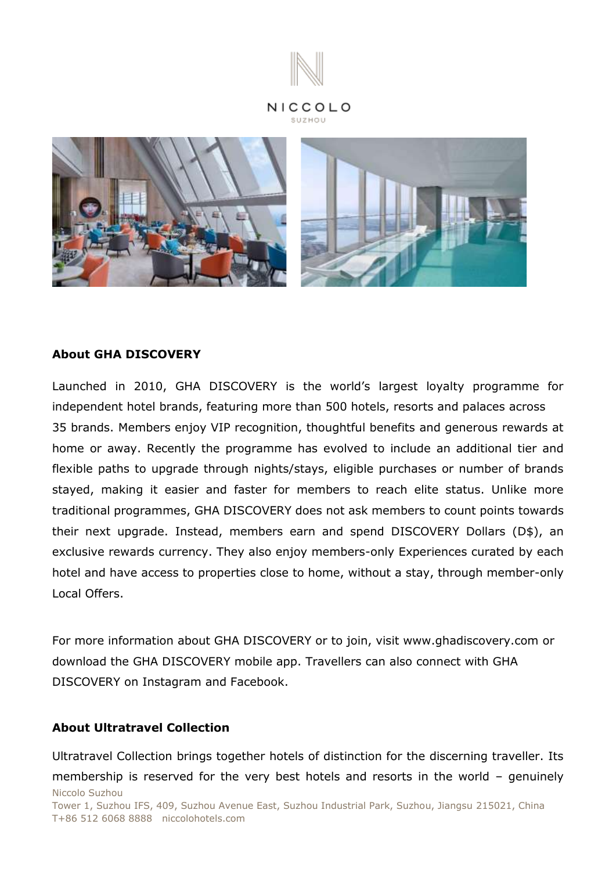



# **About GHA DISCOVERY**

Launched in 2010, GHA DISCOVERY is the world's largest loyalty programme for independent hotel brands, featuring more than 500 hotels, resorts and palaces across 35 brands. Members enjoy VIP recognition, thoughtful benefits and generous rewards at home or away. Recently the programme has evolved to include an additional tier and flexible paths to upgrade through nights/stays, eligible purchases or number of brands stayed, making it easier and faster for members to reach elite status. Unlike more traditional programmes, GHA DISCOVERY does not ask members to count points towards their next upgrade. Instead, members earn and spend DISCOVERY Dollars (D\$), an exclusive rewards currency. They also enjoy members-only Experiences curated by each hotel and have access to properties close to home, without a stay, through member-only Local Offers.

For more information about GHA DISCOVERY or to join, visit www.ghadiscovery.com or download the GHA DISCOVERY mobile app. Travellers can also connect with GHA DISCOVERY on Instagram and Facebook.

# **About Ultratravel Collection**

Niccolo Suzhou Tower 1, Suzhou IFS, 409, Suzhou Avenue East, Suzhou Industrial Park, Suzhou, Jiangsu 215021, China T+86 512 6068 8888 niccolohotels.com Ultratravel Collection brings together hotels of distinction for the discerning traveller. Its membership is reserved for the very best hotels and resorts in the world – genuinely